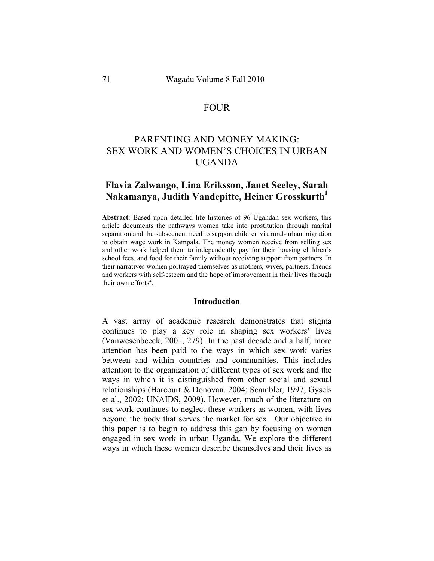## FOUR

# PARENTING AND MONEY MAKING: SEX WORK AND WOMEN'S CHOICES IN URBAN UGANDA

## **Flavia Zalwango, Lina Eriksson, Janet Seeley, Sarah Nakamanya, Judith Vandepitte, Heiner Grosskurth<sup>1</sup>**

**Abstract**: Based upon detailed life histories of 96 Ugandan sex workers, this article documents the pathways women take into prostitution through marital separation and the subsequent need to support children via rural-urban migration to obtain wage work in Kampala. The money women receive from selling sex and other work helped them to independently pay for their housing children's school fees, and food for their family without receiving support from partners. In their narratives women portrayed themselves as mothers, wives, partners, friends and workers with self-esteem and the hope of improvement in their lives through their own efforts<sup>2</sup>.

#### **Introduction**

A vast array of academic research demonstrates that stigma continues to play a key role in shaping sex workers' lives (Vanwesenbeeck, 2001, 279). In the past decade and a half, more attention has been paid to the ways in which sex work varies between and within countries and communities. This includes attention to the organization of different types of sex work and the ways in which it is distinguished from other social and sexual relationships (Harcourt & Donovan, 2004; Scambler, 1997; Gysels et al., 2002; UNAIDS, 2009). However, much of the literature on sex work continues to neglect these workers as women, with lives beyond the body that serves the market for sex. Our objective in this paper is to begin to address this gap by focusing on women engaged in sex work in urban Uganda. We explore the different ways in which these women describe themselves and their lives as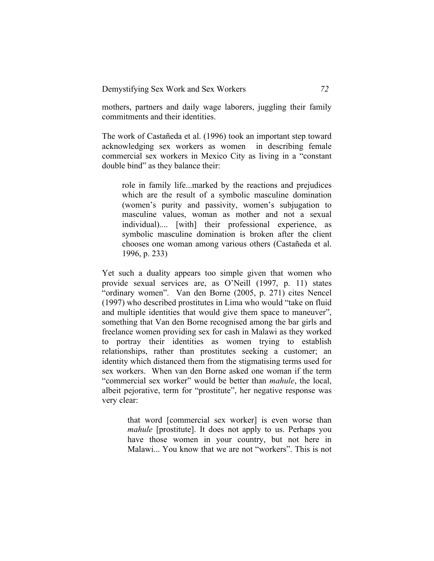mothers, partners and daily wage laborers, juggling their family commitments and their identities.

The work of Castañeda et al. (1996) took an important step toward acknowledging sex workers as women in describing female commercial sex workers in Mexico City as living in a "constant double bind" as they balance their:

role in family life...marked by the reactions and prejudices which are the result of a symbolic masculine domination (women's purity and passivity, women's subjugation to masculine values, woman as mother and not a sexual individual).... [with] their professional experience, as symbolic masculine domination is broken after the client chooses one woman among various others (Castañeda et al. 1996, p. 233)

Yet such a duality appears too simple given that women who provide sexual services are, as O'Neill (1997, p. 11) states "ordinary women". Van den Borne (2005, p. 271) cites Nencel (1997) who described prostitutes in Lima who would "take on fluid and multiple identities that would give them space to maneuver", something that Van den Borne recognised among the bar girls and freelance women providing sex for cash in Malawi as they worked to portray their identities as women trying to establish relationships, rather than prostitutes seeking a customer; an identity which distanced them from the stigmatising terms used for sex workers. When van den Borne asked one woman if the term "commercial sex worker" would be better than *mahule*, the local, albeit pejorative, term for "prostitute", her negative response was very clear:

> that word [commercial sex worker] is even worse than *mahule* [prostitute]. It does not apply to us. Perhaps you have those women in your country, but not here in Malawi... You know that we are not "workers". This is not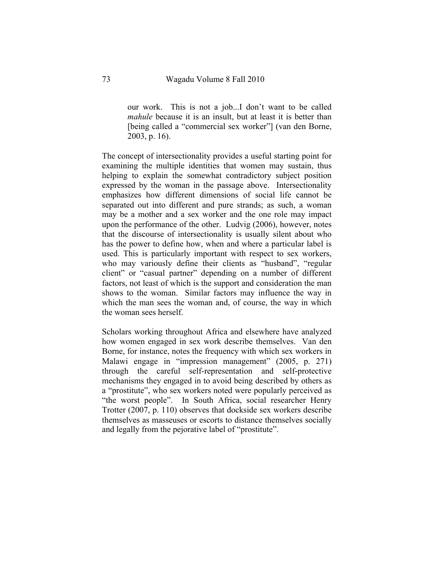our work. This is not a job...I don't want to be called *mahule* because it is an insult, but at least it is better than [being called a "commercial sex worker"] (van den Borne, 2003, p. 16).

The concept of intersectionality provides a useful starting point for examining the multiple identities that women may sustain, thus helping to explain the somewhat contradictory subject position expressed by the woman in the passage above. Intersectionality emphasizes how different dimensions of social life cannot be separated out into different and pure strands; as such, a woman may be a mother and a sex worker and the one role may impact upon the performance of the other. Ludvig (2006), however, notes that the discourse of intersectionality is usually silent about who has the power to define how, when and where a particular label is used. This is particularly important with respect to sex workers, who may variously define their clients as "husband", "regular client" or "casual partner" depending on a number of different factors, not least of which is the support and consideration the man shows to the woman. Similar factors may influence the way in which the man sees the woman and, of course, the way in which the woman sees herself.

Scholars working throughout Africa and elsewhere have analyzed how women engaged in sex work describe themselves. Van den Borne, for instance, notes the frequency with which sex workers in Malawi engage in "impression management" (2005, p. 271) through the careful self-representation and self-protective mechanisms they engaged in to avoid being described by others as a "prostitute", who sex workers noted were popularly perceived as "the worst people". In South Africa, social researcher Henry Trotter (2007, p. 110) observes that dockside sex workers describe themselves as masseuses or escorts to distance themselves socially and legally from the pejorative label of "prostitute".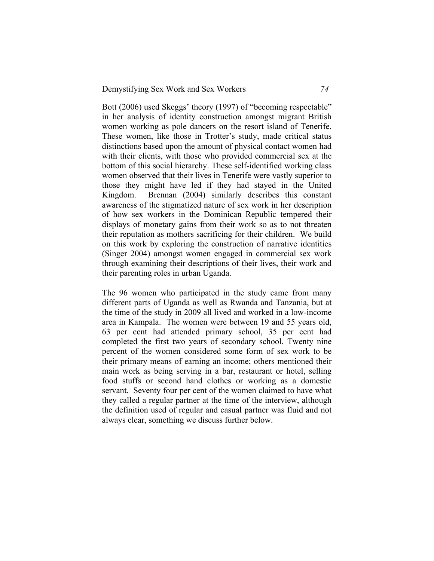Bott (2006) used Skeggs' theory (1997) of "becoming respectable" in her analysis of identity construction amongst migrant British women working as pole dancers on the resort island of Tenerife. These women, like those in Trotter's study, made critical status distinctions based upon the amount of physical contact women had with their clients, with those who provided commercial sex at the bottom of this social hierarchy. These self-identified working class women observed that their lives in Tenerife were vastly superior to those they might have led if they had stayed in the United Kingdom. Brennan (2004) similarly describes this constant awareness of the stigmatized nature of sex work in her description of how sex workers in the Dominican Republic tempered their displays of monetary gains from their work so as to not threaten their reputation as mothers sacrificing for their children. We build on this work by exploring the construction of narrative identities (Singer 2004) amongst women engaged in commercial sex work through examining their descriptions of their lives, their work and their parenting roles in urban Uganda.

The 96 women who participated in the study came from many different parts of Uganda as well as Rwanda and Tanzania, but at the time of the study in 2009 all lived and worked in a low-income area in Kampala. The women were between 19 and 55 years old, 63 per cent had attended primary school, 35 per cent had completed the first two years of secondary school. Twenty nine percent of the women considered some form of sex work to be their primary means of earning an income; others mentioned their main work as being serving in a bar, restaurant or hotel, selling food stuffs or second hand clothes or working as a domestic servant. Seventy four per cent of the women claimed to have what they called a regular partner at the time of the interview, although the definition used of regular and casual partner was fluid and not always clear, something we discuss further below.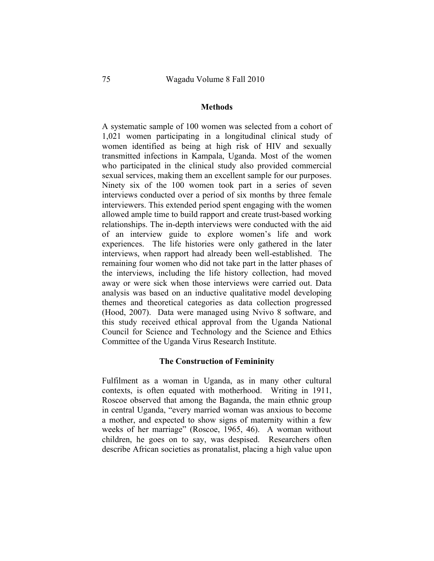## **Methods**

A systematic sample of 100 women was selected from a cohort of 1,021 women participating in a longitudinal clinical study of women identified as being at high risk of HIV and sexually transmitted infections in Kampala, Uganda. Most of the women who participated in the clinical study also provided commercial sexual services, making them an excellent sample for our purposes. Ninety six of the 100 women took part in a series of seven interviews conducted over a period of six months by three female interviewers. This extended period spent engaging with the women allowed ample time to build rapport and create trust-based working relationships. The in-depth interviews were conducted with the aid of an interview guide to explore women's life and work experiences. The life histories were only gathered in the later interviews, when rapport had already been well-established. The remaining four women who did not take part in the latter phases of the interviews, including the life history collection, had moved away or were sick when those interviews were carried out. Data analysis was based on an inductive qualitative model developing themes and theoretical categories as data collection progressed (Hood, 2007). Data were managed using Nvivo 8 software, and this study received ethical approval from the Uganda National Council for Science and Technology and the Science and Ethics Committee of the Uganda Virus Research Institute.

#### **The Construction of Femininity**

Fulfilment as a woman in Uganda, as in many other cultural contexts, is often equated with motherhood. Writing in 1911, Roscoe observed that among the Baganda, the main ethnic group in central Uganda, "every married woman was anxious to become a mother, and expected to show signs of maternity within a few weeks of her marriage" (Roscoe, 1965, 46). A woman without children, he goes on to say, was despised. Researchers often describe African societies as pronatalist, placing a high value upon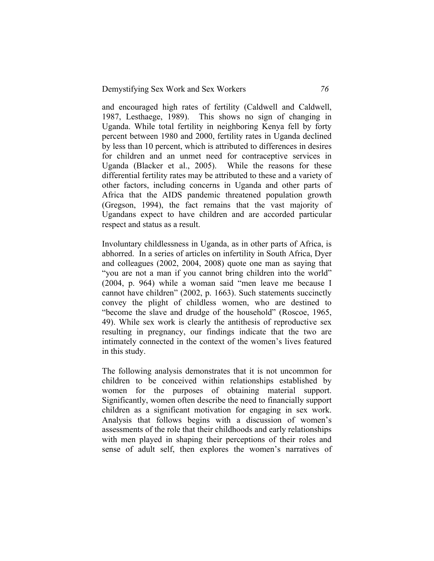and encouraged high rates of fertility (Caldwell and Caldwell, 1987, Lesthaege, 1989). This shows no sign of changing in Uganda. While total fertility in neighboring Kenya fell by forty percent between 1980 and 2000, fertility rates in Uganda declined by less than 10 percent, which is attributed to differences in desires for children and an unmet need for contraceptive services in Uganda (Blacker et al., 2005). While the reasons for these differential fertility rates may be attributed to these and a variety of other factors, including concerns in Uganda and other parts of Africa that the AIDS pandemic threatened population growth (Gregson, 1994), the fact remains that the vast majority of Ugandans expect to have children and are accorded particular respect and status as a result.

Involuntary childlessness in Uganda, as in other parts of Africa, is abhorred. In a series of articles on infertility in South Africa, Dyer and colleagues (2002, 2004, 2008) quote one man as saying that "you are not a man if you cannot bring children into the world" (2004, p. 964) while a woman said "men leave me because I cannot have children" (2002, p. 1663). Such statements succinctly convey the plight of childless women, who are destined to "become the slave and drudge of the household" (Roscoe, 1965, 49). While sex work is clearly the antithesis of reproductive sex resulting in pregnancy, our findings indicate that the two are intimately connected in the context of the women's lives featured in this study.

The following analysis demonstrates that it is not uncommon for children to be conceived within relationships established by women for the purposes of obtaining material support. Significantly, women often describe the need to financially support children as a significant motivation for engaging in sex work. Analysis that follows begins with a discussion of women's assessments of the role that their childhoods and early relationships with men played in shaping their perceptions of their roles and sense of adult self, then explores the women's narratives of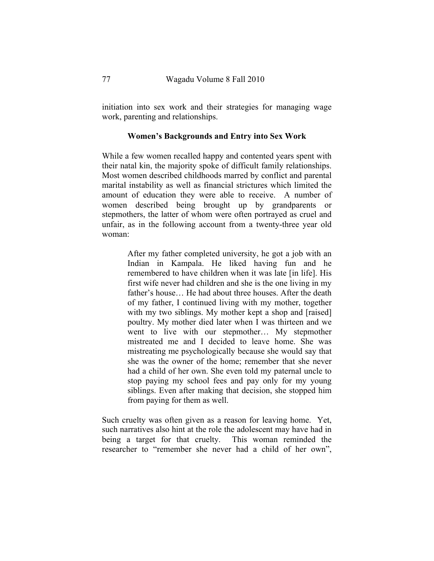initiation into sex work and their strategies for managing wage work, parenting and relationships.

## **Women's Backgrounds and Entry into Sex Work**

While a few women recalled happy and contented years spent with their natal kin, the majority spoke of difficult family relationships. Most women described childhoods marred by conflict and parental marital instability as well as financial strictures which limited the amount of education they were able to receive. A number of women described being brought up by grandparents or stepmothers, the latter of whom were often portrayed as cruel and unfair, as in the following account from a twenty-three year old woman:

> After my father completed university, he got a job with an Indian in Kampala. He liked having fun and he remembered to have children when it was late [in life]. His first wife never had children and she is the one living in my father's house… He had about three houses. After the death of my father, I continued living with my mother, together with my two siblings. My mother kept a shop and [raised] poultry. My mother died later when I was thirteen and we went to live with our stepmother… My stepmother mistreated me and I decided to leave home. She was mistreating me psychologically because she would say that she was the owner of the home; remember that she never had a child of her own. She even told my paternal uncle to stop paying my school fees and pay only for my young siblings. Even after making that decision, she stopped him from paying for them as well.

Such cruelty was often given as a reason for leaving home. Yet, such narratives also hint at the role the adolescent may have had in being a target for that cruelty. This woman reminded the researcher to "remember she never had a child of her own",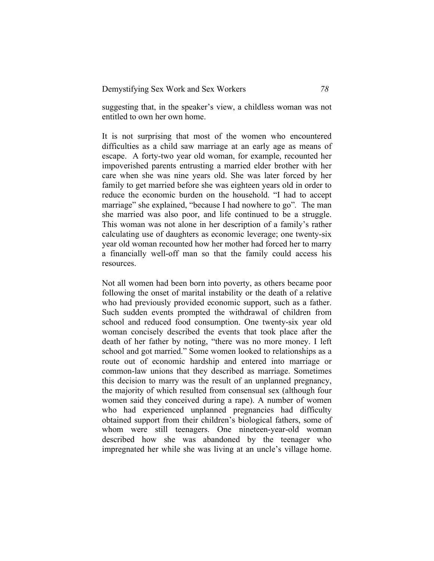suggesting that, in the speaker's view, a childless woman was not entitled to own her own home.

It is not surprising that most of the women who encountered difficulties as a child saw marriage at an early age as means of escape. A forty-two year old woman, for example, recounted her impoverished parents entrusting a married elder brother with her care when she was nine years old. She was later forced by her family to get married before she was eighteen years old in order to reduce the economic burden on the household. "I had to accept marriage" she explained, "because I had nowhere to go"*.* The man she married was also poor, and life continued to be a struggle. This woman was not alone in her description of a family's rather calculating use of daughters as economic leverage; one twenty-six year old woman recounted how her mother had forced her to marry a financially well-off man so that the family could access his resources.

Not all women had been born into poverty, as others became poor following the onset of marital instability or the death of a relative who had previously provided economic support, such as a father. Such sudden events prompted the withdrawal of children from school and reduced food consumption. One twenty-six year old woman concisely described the events that took place after the death of her father by noting, "there was no more money. I left school and got married." Some women looked to relationships as a route out of economic hardship and entered into marriage or common-law unions that they described as marriage. Sometimes this decision to marry was the result of an unplanned pregnancy, the majority of which resulted from consensual sex (although four women said they conceived during a rape). A number of women who had experienced unplanned pregnancies had difficulty obtained support from their children's biological fathers, some of whom were still teenagers. One nineteen-year-old woman described how she was abandoned by the teenager who impregnated her while she was living at an uncle's village home.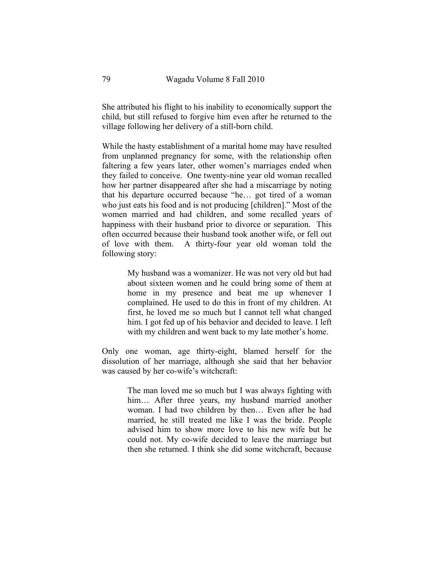She attributed his flight to his inability to economically support the child, but still refused to forgive him even after he returned to the village following her delivery of a still-born child.

While the hasty establishment of a marital home may have resulted from unplanned pregnancy for some, with the relationship often faltering a few years later, other women's marriages ended when they failed to conceive. One twenty-nine year old woman recalled how her partner disappeared after she had a miscarriage by noting that his departure occurred because "he… got tired of a woman who just eats his food and is not producing [children]." Most of the women married and had children, and some recalled years of happiness with their husband prior to divorce or separation. This often occurred because their husband took another wife, or fell out of love with them. A thirty-four year old woman told the following story:

> My husband was a womanizer. He was not very old but had about sixteen women and he could bring some of them at home in my presence and beat me up whenever I complained. He used to do this in front of my children. At first, he loved me so much but I cannot tell what changed him. I got fed up of his behavior and decided to leave. I left with my children and went back to my late mother's home.

Only one woman, age thirty-eight, blamed herself for the dissolution of her marriage, although she said that her behavior was caused by her co-wife's witchcraft:

> The man loved me so much but I was always fighting with him... After three years, my husband married another woman. I had two children by then… Even after he had married, he still treated me like I was the bride. People advised him to show more love to his new wife but he could not. My co-wife decided to leave the marriage but then she returned. I think she did some witchcraft, because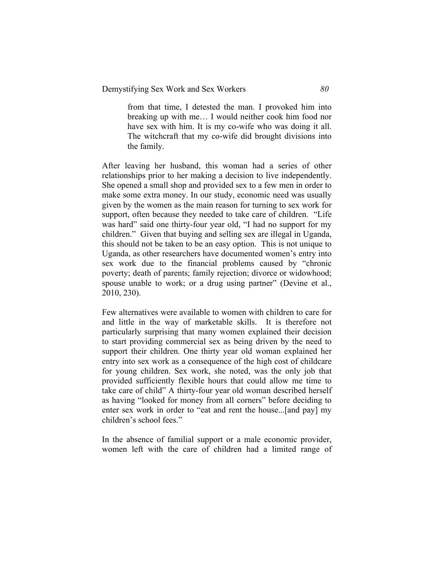from that time, I detested the man. I provoked him into breaking up with me… I would neither cook him food nor have sex with him. It is my co-wife who was doing it all. The witchcraft that my co-wife did brought divisions into the family.

After leaving her husband, this woman had a series of other relationships prior to her making a decision to live independently. She opened a small shop and provided sex to a few men in order to make some extra money. In our study, economic need was usually given by the women as the main reason for turning to sex work for support, often because they needed to take care of children. "Life was hard" said one thirty-four year old, "I had no support for my children." Given that buying and selling sex are illegal in Uganda, this should not be taken to be an easy option. This is not unique to Uganda, as other researchers have documented women's entry into sex work due to the financial problems caused by "chronic poverty; death of parents; family rejection; divorce or widowhood; spouse unable to work; or a drug using partner" (Devine et al., 2010, 230).

Few alternatives were available to women with children to care for and little in the way of marketable skills. It is therefore not particularly surprising that many women explained their decision to start providing commercial sex as being driven by the need to support their children. One thirty year old woman explained her entry into sex work as a consequence of the high cost of childcare for young children. Sex work, she noted, was the only job that provided sufficiently flexible hours that could allow me time to take care of child" A thirty-four year old woman described herself as having "looked for money from all corners" before deciding to enter sex work in order to "eat and rent the house...[and pay] my children's school fees."

In the absence of familial support or a male economic provider, women left with the care of children had a limited range of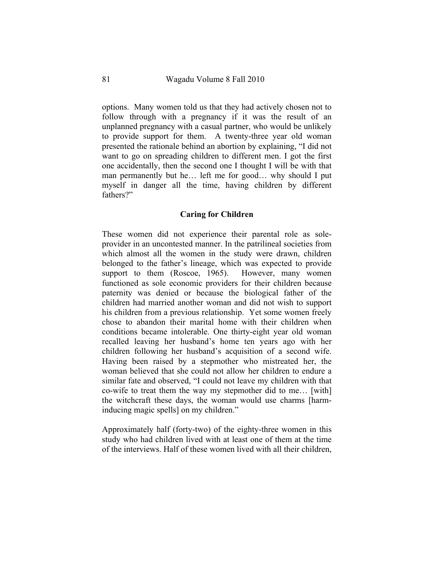options. Many women told us that they had actively chosen not to follow through with a pregnancy if it was the result of an unplanned pregnancy with a casual partner, who would be unlikely to provide support for them. A twenty-three year old woman presented the rationale behind an abortion by explaining, "I did not want to go on spreading children to different men. I got the first one accidentally, then the second one I thought I will be with that man permanently but he… left me for good… why should I put myself in danger all the time, having children by different fathers?"

## **Caring for Children**

These women did not experience their parental role as soleprovider in an uncontested manner. In the patrilineal societies from which almost all the women in the study were drawn, children belonged to the father's lineage, which was expected to provide support to them (Roscoe, 1965). However, many women functioned as sole economic providers for their children because paternity was denied or because the biological father of the children had married another woman and did not wish to support his children from a previous relationship. Yet some women freely chose to abandon their marital home with their children when conditions became intolerable. One thirty-eight year old woman recalled leaving her husband's home ten years ago with her children following her husband's acquisition of a second wife. Having been raised by a stepmother who mistreated her, the woman believed that she could not allow her children to endure a similar fate and observed, "I could not leave my children with that co-wife to treat them the way my stepmother did to me… [with] the witchcraft these days, the woman would use charms [harminducing magic spells] on my children."

Approximately half (forty-two) of the eighty-three women in this study who had children lived with at least one of them at the time of the interviews. Half of these women lived with all their children,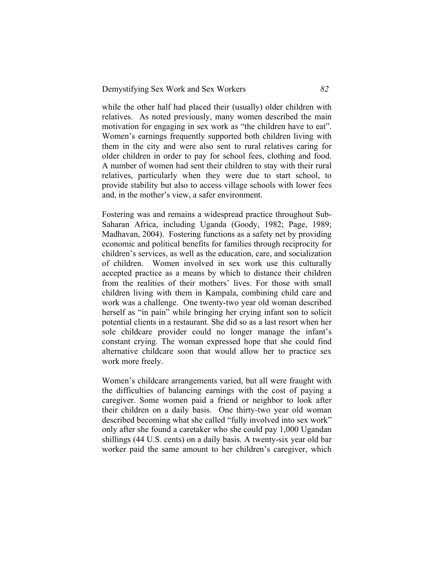while the other half had placed their (usually) older children with relatives. As noted previously, many women described the main motivation for engaging in sex work as "the children have to eat". Women's earnings frequently supported both children living with them in the city and were also sent to rural relatives caring for older children in order to pay for school fees, clothing and food. A number of women had sent their children to stay with their rural relatives, particularly when they were due to start school, to provide stability but also to access village schools with lower fees and, in the mother's view, a safer environment.

Fostering was and remains a widespread practice throughout Sub-Saharan Africa, including Uganda (Goody, 1982; Page, 1989; Madhavan, 2004). Fostering functions as a safety net by providing economic and political benefits for families through reciprocity for children's services, as well as the education, care, and socialization of children. Women involved in sex work use this culturally accepted practice as a means by which to distance their children from the realities of their mothers' lives. For those with small children living with them in Kampala, combining child care and work was a challenge. One twenty-two year old woman described herself as "in pain" while bringing her crying infant son to solicit potential clients in a restaurant. She did so as a last resort when her sole childcare provider could no longer manage the infant's constant crying. The woman expressed hope that she could find alternative childcare soon that would allow her to practice sex work more freely.

Women's childcare arrangements varied, but all were fraught with the difficulties of balancing earnings with the cost of paying a caregiver. Some women paid a friend or neighbor to look after their children on a daily basis. One thirty-two year old woman described becoming what she called "fully involved into sex work" only after she found a caretaker who she could pay 1,000 Ugandan shillings (44 U.S. cents) on a daily basis. A twenty-six year old bar worker paid the same amount to her children's caregiver, which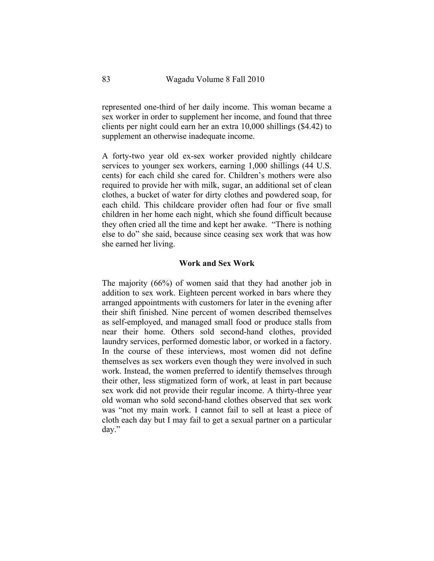represented one-third of her daily income. This woman became a sex worker in order to supplement her income, and found that three clients per night could earn her an extra 10,000 shillings (\$4.42) to supplement an otherwise inadequate income.

A forty-two year old ex-sex worker provided nightly childcare services to younger sex workers, earning 1,000 shillings (44 U.S. cents) for each child she cared for. Children's mothers were also required to provide her with milk, sugar, an additional set of clean clothes, a bucket of water for dirty clothes and powdered soap, for each child. This childcare provider often had four or five small children in her home each night, which she found difficult because they often cried all the time and kept her awake. "There is nothing else to do" she said, because since ceasing sex work that was how she earned her living.

#### **Work and Sex Work**

The majority (66%) of women said that they had another job in addition to sex work. Eighteen percent worked in bars where they arranged appointments with customers for later in the evening after their shift finished. Nine percent of women described themselves as self-employed, and managed small food or produce stalls from near their home. Others sold second-hand clothes, provided laundry services, performed domestic labor, or worked in a factory. In the course of these interviews, most women did not define themselves as sex workers even though they were involved in such work. Instead, the women preferred to identify themselves through their other, less stigmatized form of work, at least in part because sex work did not provide their regular income. A thirty-three year old woman who sold second-hand clothes observed that sex work was "not my main work. I cannot fail to sell at least a piece of cloth each day but I may fail to get a sexual partner on a particular day."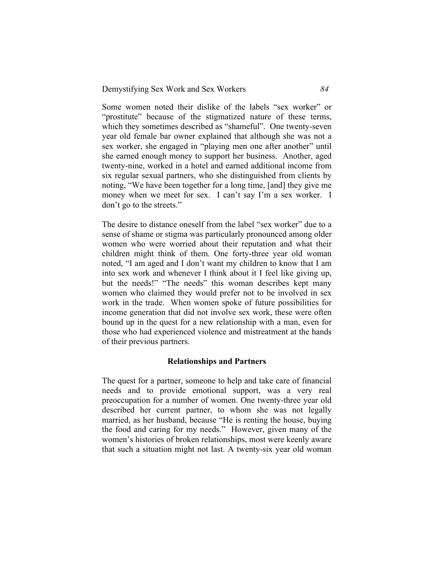Some women noted their dislike of the labels "sex worker" or "prostitute" because of the stigmatized nature of these terms, which they sometimes described as "shameful". One twenty-seven year old female bar owner explained that although she was not a sex worker, she engaged in "playing men one after another" until she earned enough money to support her business. Another, aged twenty-nine, worked in a hotel and earned additional income from six regular sexual partners, who she distinguished from clients by noting, "We have been together for a long time, [and] they give me money when we meet for sex. I can't say I'm a sex worker. I don't go to the streets."

The desire to distance oneself from the label "sex worker" due to a sense of shame or stigma was particularly pronounced among older women who were worried about their reputation and what their children might think of them. One forty-three year old woman noted, "I am aged and I don't want my children to know that I am into sex work and whenever I think about it I feel like giving up, but the needs!" "The needs" this woman describes kept many women who claimed they would prefer not to be involved in sex work in the trade. When women spoke of future possibilities for income generation that did not involve sex work, these were often bound up in the quest for a new relationship with a man, even for those who had experienced violence and mistreatment at the hands of their previous partners.

## **Relationships and Partners**

The quest for a partner, someone to help and take care of financial needs and to provide emotional support, was a very real preoccupation for a number of women. One twenty-three year old described her current partner, to whom she was not legally married, as her husband, because "He is renting the house, buying the food and caring for my needs." However, given many of the women's histories of broken relationships, most were keenly aware that such a situation might not last. A twenty-six year old woman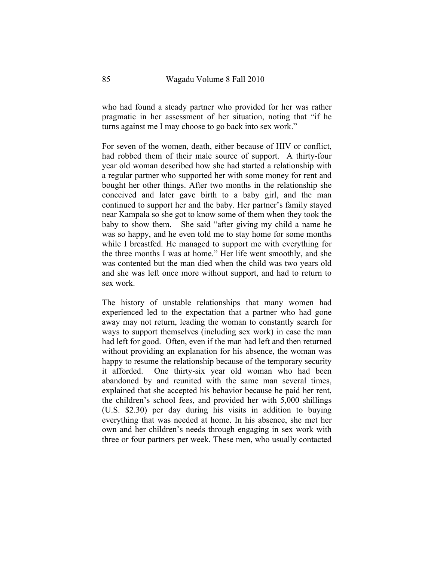who had found a steady partner who provided for her was rather pragmatic in her assessment of her situation, noting that "if he turns against me I may choose to go back into sex work."

For seven of the women, death, either because of HIV or conflict, had robbed them of their male source of support. A thirty-four year old woman described how she had started a relationship with a regular partner who supported her with some money for rent and bought her other things. After two months in the relationship she conceived and later gave birth to a baby girl, and the man continued to support her and the baby. Her partner's family stayed near Kampala so she got to know some of them when they took the baby to show them. She said "after giving my child a name he was so happy, and he even told me to stay home for some months while I breastfed. He managed to support me with everything for the three months I was at home." Her life went smoothly, and she was contented but the man died when the child was two years old and she was left once more without support, and had to return to sex work.

The history of unstable relationships that many women had experienced led to the expectation that a partner who had gone away may not return, leading the woman to constantly search for ways to support themselves (including sex work) in case the man had left for good. Often, even if the man had left and then returned without providing an explanation for his absence, the woman was happy to resume the relationship because of the temporary security it afforded. One thirty-six year old woman who had been abandoned by and reunited with the same man several times, explained that she accepted his behavior because he paid her rent, the children's school fees, and provided her with 5,000 shillings (U.S. \$2.30) per day during his visits in addition to buying everything that was needed at home. In his absence, she met her own and her children's needs through engaging in sex work with three or four partners per week. These men, who usually contacted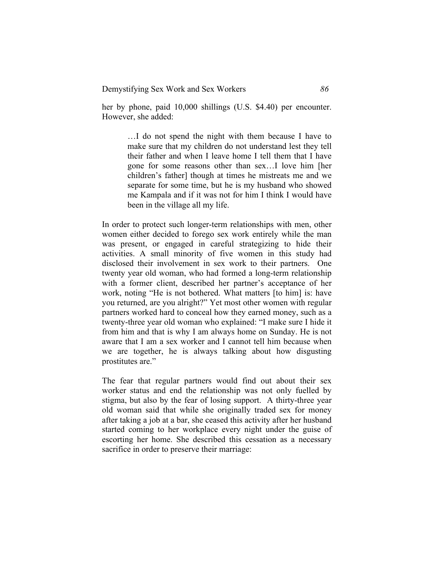her by phone, paid 10,000 shillings (U.S. \$4.40) per encounter. However, she added:

> …I do not spend the night with them because I have to make sure that my children do not understand lest they tell their father and when I leave home I tell them that I have gone for some reasons other than sex…I love him [her children's father] though at times he mistreats me and we separate for some time, but he is my husband who showed me Kampala and if it was not for him I think I would have been in the village all my life.

In order to protect such longer-term relationships with men, other women either decided to forego sex work entirely while the man was present, or engaged in careful strategizing to hide their activities. A small minority of five women in this study had disclosed their involvement in sex work to their partners. One twenty year old woman, who had formed a long-term relationship with a former client, described her partner's acceptance of her work, noting "He is not bothered. What matters [to him] is: have you returned, are you alright?" Yet most other women with regular partners worked hard to conceal how they earned money, such as a twenty-three year old woman who explained: "I make sure I hide it from him and that is why I am always home on Sunday. He is not aware that I am a sex worker and I cannot tell him because when we are together, he is always talking about how disgusting prostitutes are."

The fear that regular partners would find out about their sex worker status and end the relationship was not only fuelled by stigma, but also by the fear of losing support. A thirty-three year old woman said that while she originally traded sex for money after taking a job at a bar, she ceased this activity after her husband started coming to her workplace every night under the guise of escorting her home. She described this cessation as a necessary sacrifice in order to preserve their marriage: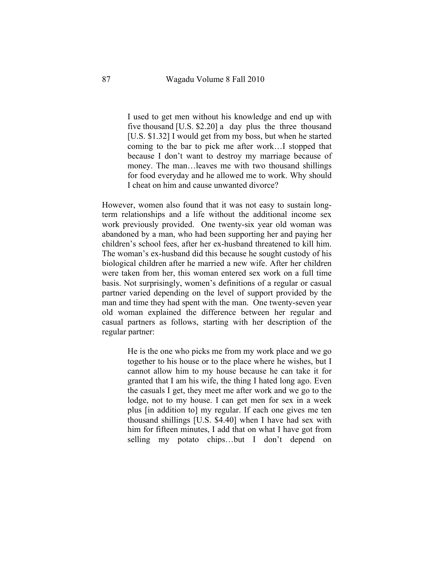I used to get men without his knowledge and end up with five thousand [U.S. \$2.20] a day plus the three thousand [U.S. \$1.32] I would get from my boss, but when he started coming to the bar to pick me after work…I stopped that because I don't want to destroy my marriage because of money. The man…leaves me with two thousand shillings for food everyday and he allowed me to work. Why should I cheat on him and cause unwanted divorce?

However, women also found that it was not easy to sustain longterm relationships and a life without the additional income sex work previously provided. One twenty-six year old woman was abandoned by a man, who had been supporting her and paying her children's school fees, after her ex-husband threatened to kill him. The woman's ex-husband did this because he sought custody of his biological children after he married a new wife. After her children were taken from her, this woman entered sex work on a full time basis. Not surprisingly, women's definitions of a regular or casual partner varied depending on the level of support provided by the man and time they had spent with the man. One twenty-seven year old woman explained the difference between her regular and casual partners as follows, starting with her description of the regular partner:

> He is the one who picks me from my work place and we go together to his house or to the place where he wishes, but I cannot allow him to my house because he can take it for granted that I am his wife, the thing I hated long ago. Even the casuals I get, they meet me after work and we go to the lodge, not to my house. I can get men for sex in a week plus [in addition to] my regular. If each one gives me ten thousand shillings [U.S. \$4.40] when I have had sex with him for fifteen minutes, I add that on what I have got from selling my potato chips…but I don't depend on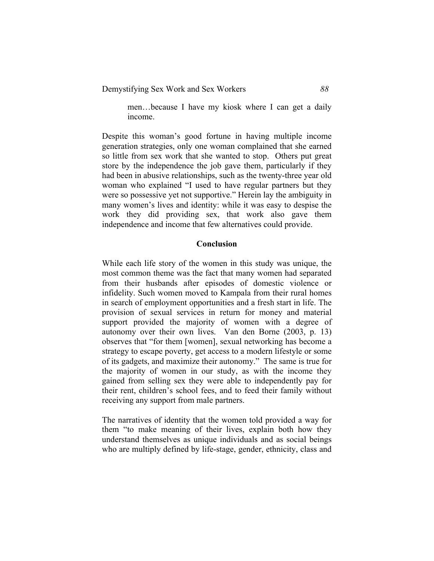men…because I have my kiosk where I can get a daily income.

Despite this woman's good fortune in having multiple income generation strategies, only one woman complained that she earned so little from sex work that she wanted to stop. Others put great store by the independence the job gave them, particularly if they had been in abusive relationships, such as the twenty-three year old woman who explained "I used to have regular partners but they were so possessive yet not supportive." Herein lay the ambiguity in many women's lives and identity: while it was easy to despise the work they did providing sex, that work also gave them independence and income that few alternatives could provide.

## **Conclusion**

While each life story of the women in this study was unique, the most common theme was the fact that many women had separated from their husbands after episodes of domestic violence or infidelity. Such women moved to Kampala from their rural homes in search of employment opportunities and a fresh start in life. The provision of sexual services in return for money and material support provided the majority of women with a degree of autonomy over their own lives. Van den Borne (2003, p. 13) observes that "for them [women], sexual networking has become a strategy to escape poverty, get access to a modern lifestyle or some of its gadgets, and maximize their autonomy." The same is true for the majority of women in our study, as with the income they gained from selling sex they were able to independently pay for their rent, children's school fees, and to feed their family without receiving any support from male partners.

The narratives of identity that the women told provided a way for them "to make meaning of their lives, explain both how they understand themselves as unique individuals and as social beings who are multiply defined by life-stage, gender, ethnicity, class and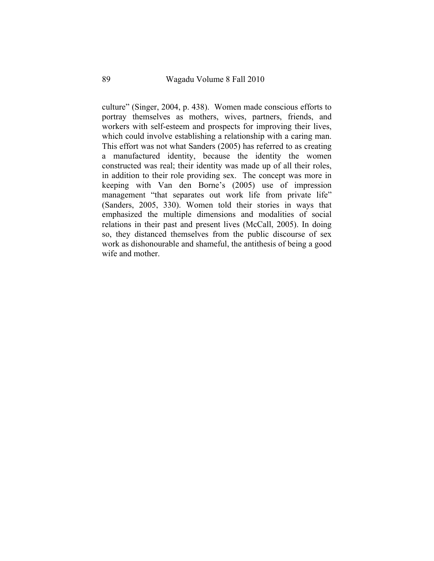culture" (Singer, 2004, p. 438). Women made conscious efforts to portray themselves as mothers, wives, partners, friends, and workers with self-esteem and prospects for improving their lives, which could involve establishing a relationship with a caring man. This effort was not what Sanders (2005) has referred to as creating a manufactured identity, because the identity the women constructed was real; their identity was made up of all their roles, in addition to their role providing sex. The concept was more in keeping with Van den Borne's (2005) use of impression management "that separates out work life from private life" (Sanders, 2005, 330). Women told their stories in ways that emphasized the multiple dimensions and modalities of social relations in their past and present lives (McCall, 2005). In doing so, they distanced themselves from the public discourse of sex work as dishonourable and shameful, the antithesis of being a good wife and mother.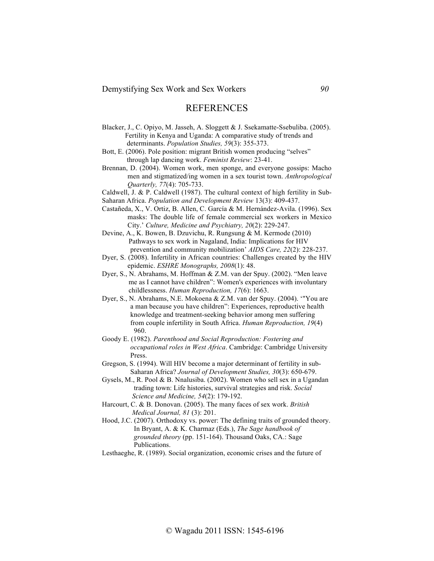## **REFERENCES**

- Blacker, J., C. Opiyo, M. Jasseh, A. Sloggett & J. Ssekamatte-Ssebuliba. (2005). Fertility in Kenya and Uganda: A comparative study of trends and determinants. *Population Studies, 59*(3): 355-373.
- Bott, E. (2006). Pole position: migrant British women producing "selves" through lap dancing work. *Feminist Review*: 23-41.
- Brennan, D. (2004). Women work, men sponge, and everyone gossips: Macho men and stigmatized/ing women in a sex tourist town. *Anthropological Quarterly, 77*(4): 705-733.
- Caldwell, J. & P. Caldwell (1987). The cultural context of high fertility in Sub-
- Saharan Africa. *Population and Development Review* 13(3): 409-437.
- Castañeda, X., V. Ortiz, B. Allen, C. García & M. Hernández-Avila. (1996). Sex masks: The double life of female commercial sex workers in Mexico City.' *Culture, Medicine and Psychiatry, 20*(2): 229-247.
- Devine, A., K. Bowen, B. Dzuvichu, R. Rungsung & M. Kermode (2010) Pathways to sex work in Nagaland, India: Implications for HIV prevention and community mobilization' *AIDS Care, 22*(2): 228-237.
- Dyer, S. (2008). Infertility in African countries: Challenges created by the HIV epidemic. *ESHRE Monographs, 2008*(1): 48.
- Dyer, S., N. Abrahams, M. Hoffman & Z.M. van der Spuy. (2002). "Men leave me as I cannot have children": Women's experiences with involuntary childlessness. *Human Reproduction, 17*(6): 1663.
- Dyer, S., N. Abrahams, N.E. Mokoena & Z.M. van der Spuy. (2004). '"You are a man because you have children": Experiences, reproductive health knowledge and treatment-seeking behavior among men suffering from couple infertility in South Africa. *Human Reproduction, 19*(4) 960.
- Goody E. (1982). *Parenthood and Social Reproduction: Fostering and occupational roles in West Africa*. Cambridge: Cambridge University Press.
- Gregson, S. (1994). Will HIV become a major determinant of fertility in sub- Saharan Africa? *Journal of Development Studies, 30*(3): 650-679.
- Gysels, M., R. Pool & B. Nnalusiba. (2002). Women who sell sex in a Ugandan trading town: Life histories, survival strategies and risk. *Social Science and Medicine, 54*(2): 179-192.
- Harcourt, C. & B. Donovan. (2005). The many faces of sex work. *British Medical Journal, 81* (3): 201.
- Hood, J.C. (2007). Orthodoxy vs. power: The defining traits of grounded theory. In Bryant, A. & K. Charmaz (Eds.), *The Sage handbook of grounded theory* (pp. 151-164). Thousand Oaks, CA.: Sage Publications.
- Lesthaeghe, R. (1989). Social organization, economic crises and the future of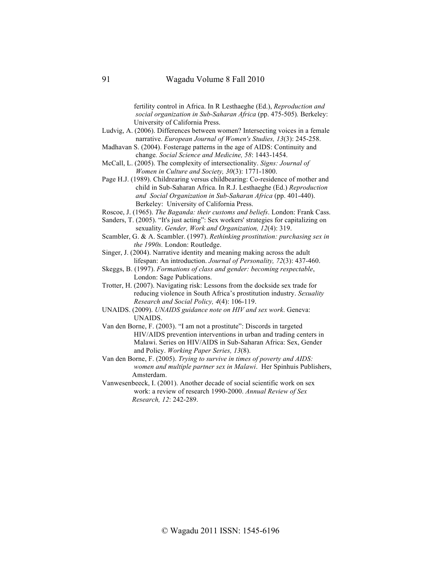fertility control in Africa. In R Lesthaeghe (Ed.), *Reproduction and social organization in Sub-Saharan Africa* (pp. 475-505)*.* Berkeley: University of California Press.

Ludvig, A. (2006). Differences between women? Intersecting voices in a female narrative. *European Journal of Women's Studies, 13*(3): 245-258.

Madhavan S. (2004). Fosterage patterns in the age of AIDS: Continuity and change*. Social Science and Medicine, 58*: 1443-1454.

McCall, L. (2005). The complexity of intersectionality. *Signs: Journal of Women in Culture and Society, 30*(3): 1771-1800.

Page H.J. (1989). Childrearing versus childbearing: Co-residence of mother and child in Sub-Saharan Africa. In R.J. Lesthaeghe (Ed.) *Reproduction and Social Organization in Sub-Saharan Africa* (pp. 401-440). Berkeley: University of California Press.

Roscoe, J. (1965). *The Baganda: their customs and beliefs*. London: Frank Cass.

Sanders, T. (2005). "It's just acting": Sex workers' strategies for capitalizing on sexuality. *Gender, Work and Organization, 12*(4): 319.

Scambler, G. & A. Scambler. (1997). *Rethinking prostitution: purchasing sex in the 1990s.* London: Routledge.

Singer, J. (2004). Narrative identity and meaning making across the adult lifespan: An introduction. *Journal of Personality, 72*(3): 437-460.

Skeggs, B. (1997). *Formations of class and gender: becoming respectable*, London: Sage Publications.

Trotter, H. (2007). Navigating risk: Lessons from the dockside sex trade for reducing violence in South Africa's prostitution industry. *Sexuality Research and Social Policy, 4*(4): 106-119.

UNAIDS. (2009). *UNAIDS guidance note on HIV and sex work*. Geneva: UNAIDS.

Van den Borne, F. (2003). "I am not a prostitute": Discords in targeted HIV/AIDS prevention interventions in urban and trading centers in Malawi. Series on HIV/AIDS in Sub-Saharan Africa: Sex, Gender and Policy. *Working Paper Series, 13*(8).

Van den Borne, F. (2005). *Trying to survive in times of poverty and AIDS: women and multiple partner sex in Malawi*. Her Spinhuis Publishers, Amsterdam.

Vanwesenbeeck, I. (2001). Another decade of social scientific work on sex work: a review of research 1990-2000. *Annual Review of Sex Research, 12*: 242-289.